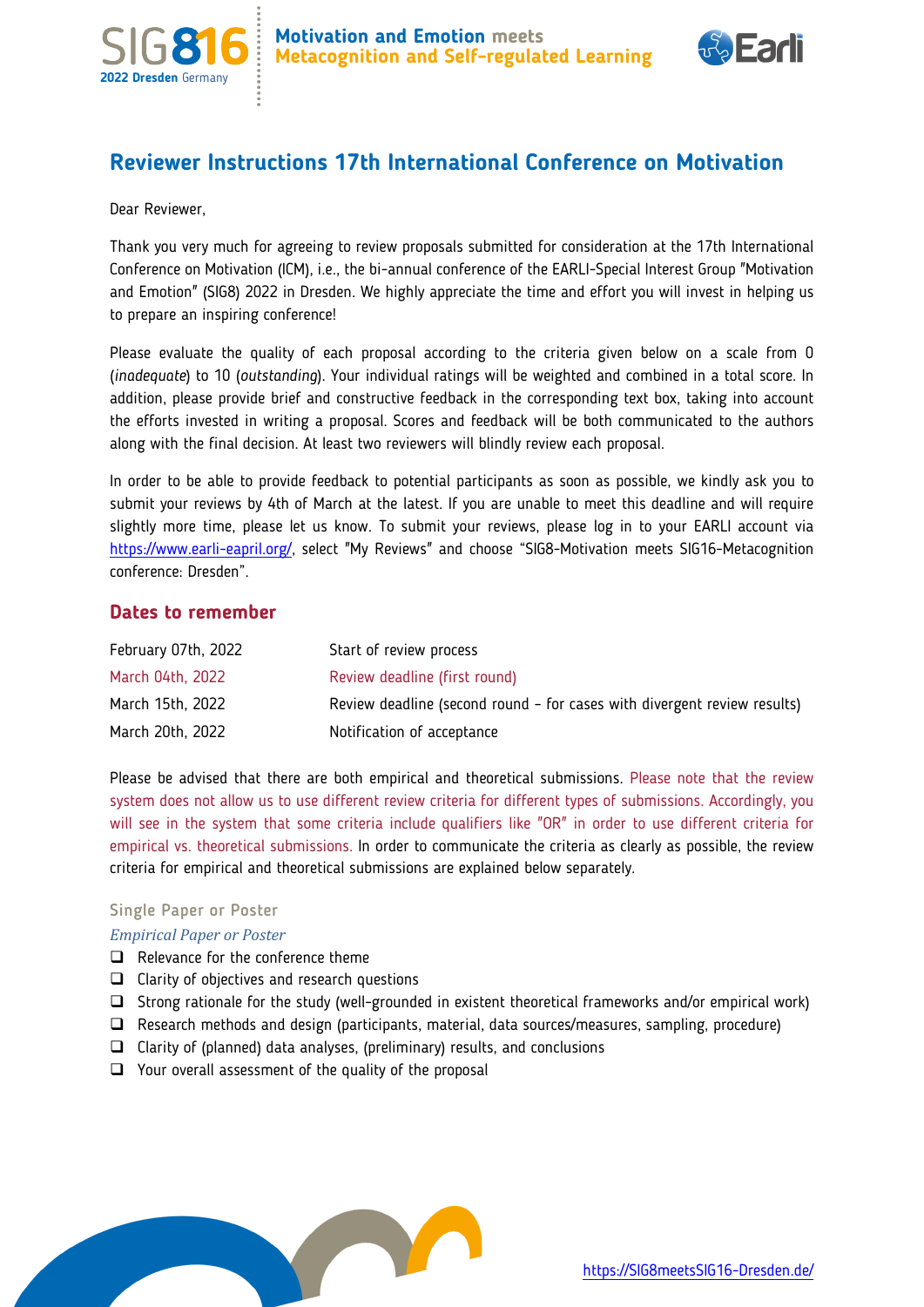



# **Reviewer Instructions 17th International Conference on Motivation**

Dear Reviewer,

Thank you very much for agreeing to review proposals submitted for consideration at the 17th International Conference on Motivation (ICM), i.e., the bi-annual conference of the EARLI-Special Interest Group "Motivation and Emotion" (SIG8) 2022 in Dresden. We highly appreciate the time and effort you will invest in helping us to prepare an inspiring conference!

Please evaluate the quality of each proposal according to the criteria given below on a scale from 0 (*inadequate*) to 10 (*outstanding*). Your individual ratings will be weighted and combined in a total score. In addition, please provide brief and constructive feedback in the corresponding text box, taking into account the efforts invested in writing a proposal. Scores and feedback will be both communicated to the authors along with the final decision. At least two reviewers will blindly review each proposal.

In order to be able to provide feedback to potential participants as soon as possible, we kindly ask you to submit your reviews by 4th of March at the latest. If you are unable to meet this deadline and will require slightly more time, please let us know. To submit your reviews, please log in to your EARLI account via [https://www.earli-eapril.org/,](https://www.earli-eapril.org/) select "My Reviews" and choose "SIG8-Motivation meets SIG16-Metacognition conference: Dresden".

## **Dates to remember**

| February 07th, 2022 | Start of review process                                                  |
|---------------------|--------------------------------------------------------------------------|
| March 04th, 2022    | Review deadline (first round)                                            |
| March 15th, 2022    | Review deadline (second round - for cases with divergent review results) |
| March 20th, 2022    | Notification of acceptance                                               |

Please be advised that there are both empirical and theoretical submissions. Please note that the review system does not allow us to use different review criteria for different types of submissions. Accordingly, you will see in the system that some criteria include qualifiers like "OR" in order to use different criteria for empirical vs. theoretical submissions. In order to communicate the criteria as clearly as possible, the review criteria for empirical and theoretical submissions are explained below separately.

### Single Paper or Poster

### *Empirical Paper or Poster*

- $\Box$  Relevance for the conference theme
- $\Box$  Clarity of objectives and research questions
- Strong rationale for the study (well-grounded in existent theoretical frameworks and/or empirical work)
- Research methods and design (participants, material, data sources/measures, sampling, procedure)
- $\Box$  Clarity of (planned) data analyses, (preliminary) results, and conclusions
- $\Box$  Your overall assessment of the quality of the proposal